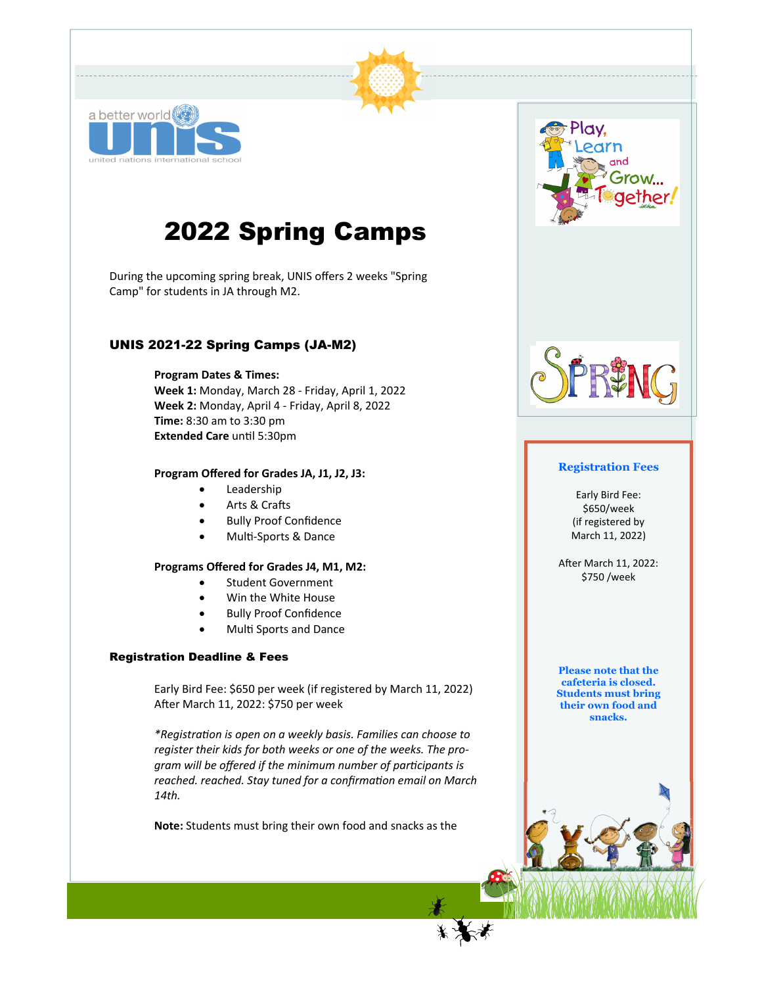

# 2022 Spring Camps

During the upcoming spring break, UNIS offers 2 weeks "Spring Camp" for students in JA through M2. 

#### UNIS 2021-22 Spring Camps (JA-M2)

#### **Program Dates & Times:**

**Week 1:** Monday, March 28 ‐ Friday, April 1, 2022 **Week 2:** Monday, April 4 ‐ Friday, April 8, 2022 **Time:** 8:30 am to 3:30 pm **Extended Care** unƟl 5:30pm

#### **Program Offered for Grades JA, J1, J2, J3:**

- Leadership
- Arts & Crafts
- Bully Proof Confidence
- Multi-Sports & Dance

#### **Programs Offered for Grades J4, M1, M2:**

- Student Government
- Win the White House
- Bully Proof Confidence
- Multi Sports and Dance

#### Registration Deadline & Fees

Early Bird Fee: \$650 per week (if registered by March 11, 2022) After March 11, 2022: \$750 per week

*\*RegistraƟon is open on a weekly basis. Families can choose to register their kids for both weeks or one of the weeks. The program will be offered if the minimum number of parƟcipants is reached. reached. Stay tuned for a confirmaƟon email on March 14th.* 

**Note:** Students must bring their own food and snacks as the





#### **Registration Fees**

Early Bird Fee: \$650/week (if registered by March 11, 2022)

After March 11, 2022: \$750 /week

**Please note that the cafeteria is closed. Students must bring their own food and snacks.**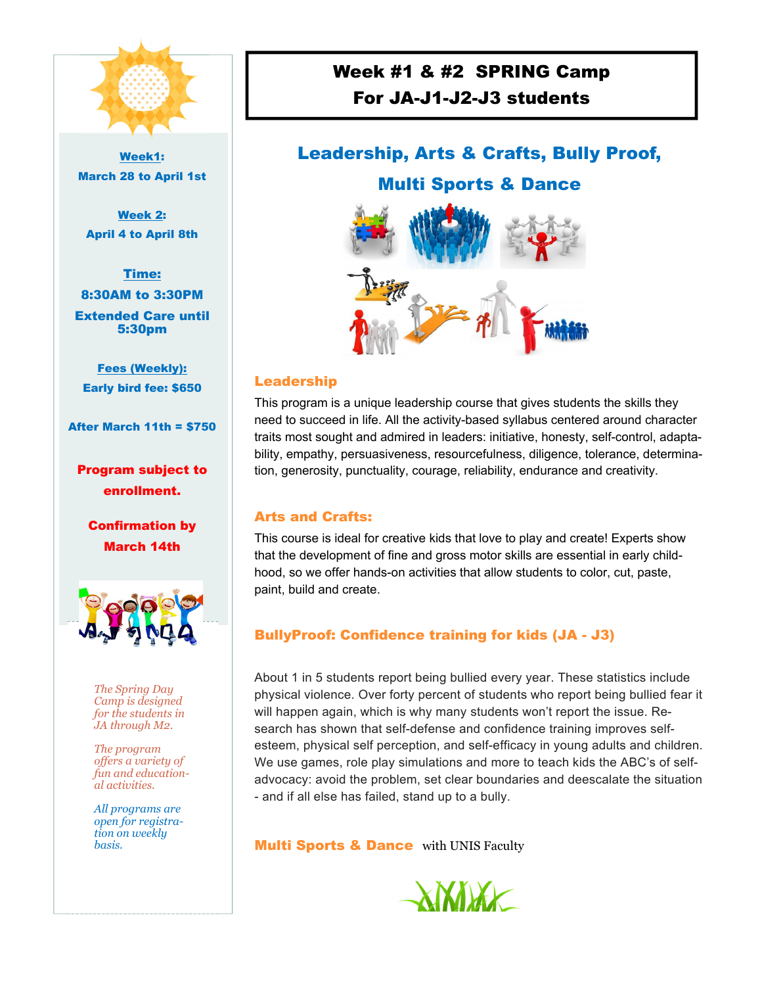

Week1: March 28 to April 1st

Week 2: April 4 to April 8th

Time: 8:30AM to 3:30PM Extended Care until 5:30pm

Fees (Weekly): Early bird fee: \$650

After March 11th = \$750

Program subject to enrollment.

Confirmation by March 14th



*The Spring Day Camp is designed for the students in JA through M2.* 

*The program offers a variety of fun and educational activities.* 

*All programs are open for registration on weekly basis.* 

# Week #1 & #2 SPRING Camp For JA-J1-J2-J3 students

# Leadership, Arts & Crafts, Bully Proof,

## Multi Sports & Dance



#### Leadership

This program is a unique leadership course that gives students the skills they need to succeed in life. All the activity-based syllabus centered around character traits most sought and admired in leaders: initiative, honesty, self-control, adaptability, empathy, persuasiveness, resourcefulness, diligence, tolerance, determination, generosity, punctuality, courage, reliability, endurance and creativity.

### Arts and Crafts:

This course is ideal for creative kids that love to play and create! Experts show that the development of fine and gross motor skills are essential in early childhood, so we offer hands-on activities that allow students to color, cut, paste, paint, build and create.

## BullyProof: Confidence training for kids (JA - J3)

About 1 in 5 students report being bullied every year. These statistics include physical violence. Over forty percent of students who report being bullied fear it will happen again, which is why many students won't report the issue. Research has shown that self-defense and confidence training improves selfesteem, physical self perception, and self-efficacy in young adults and children. We use games, role play simulations and more to teach kids the ABC's of selfadvocacy: avoid the problem, set clear boundaries and deescalate the situation - and if all else has failed, stand up to a bully.

**Multi Sports & Dance** with UNIS Faculty

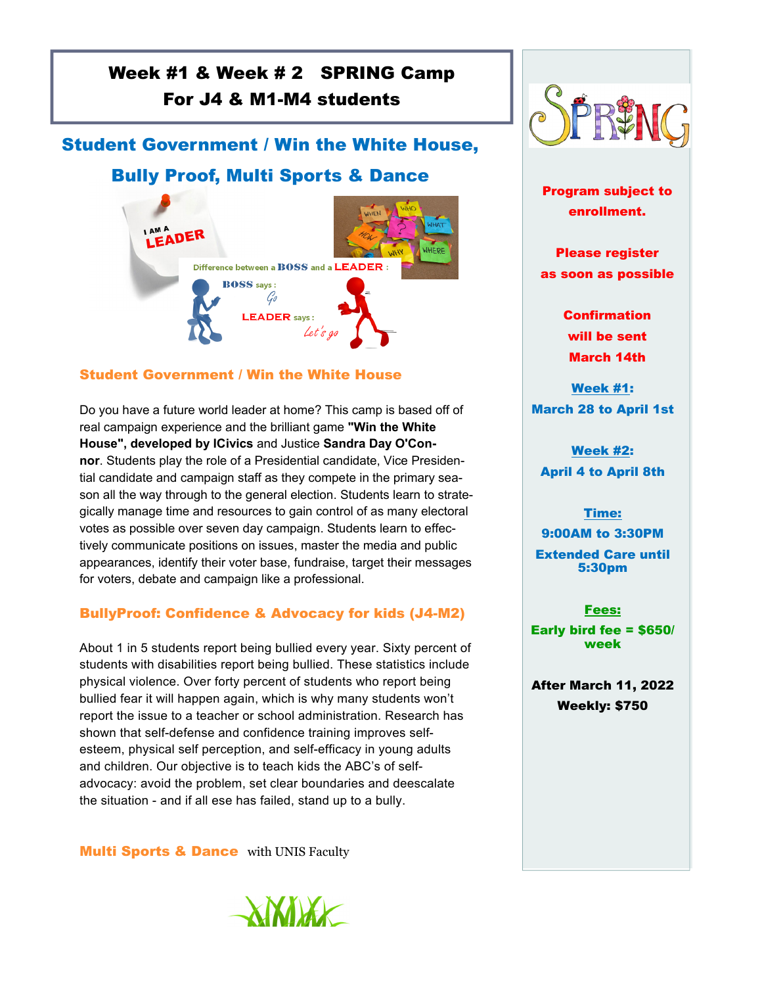# Week #1 & Week # 2 SPRING Camp For J4 & M1-M4 students

## Student Government / Win the White House,

# Bully Proof, Multi Sports & Dance



### Student Government / Win the White House

Do you have a future world leader at home? This camp is based off of real campaign experience and the brilliant game **"Win the White House", developed by ICivics** and Justice **Sandra Day O'Connor**. Students play the role of a Presidential candidate, Vice Presidential candidate and campaign staff as they compete in the primary season all the way through to the general election. Students learn to strategically manage time and resources to gain control of as many electoral votes as possible over seven day campaign. Students learn to effectively communicate positions on issues, master the media and public appearances, identify their voter base, fundraise, target their messages for voters, debate and campaign like a professional.

## BullyProof: Confidence & Advocacy for kids (J4-M2)

About 1 in 5 students report being bullied every year. Sixty percent of students with disabilities report being bullied. These statistics include physical violence. Over forty percent of students who report being bullied fear it will happen again, which is why many students won't report the issue to a teacher or school administration. Research has shown that self-defense and confidence training improves selfesteem, physical self perception, and self-efficacy in young adults and children. Our objective is to teach kids the ABC's of selfadvocacy: avoid the problem, set clear boundaries and deescalate the situation - and if all ese has failed, stand up to a bully.

**Multi Sports & Dance** with UNIS Faculty





Program subject to enrollment.

Please register as soon as possible

> **Confirmation** will be sent March 14th

Week #1: March 28 to April 1st

Week #2: April 4 to April 8th

### Time:

9:00AM to 3:30PM Extended Care until 5:30pm

Fees:

Early bird fee = \$650/ week

After March 11, 2022 Weekly: \$750